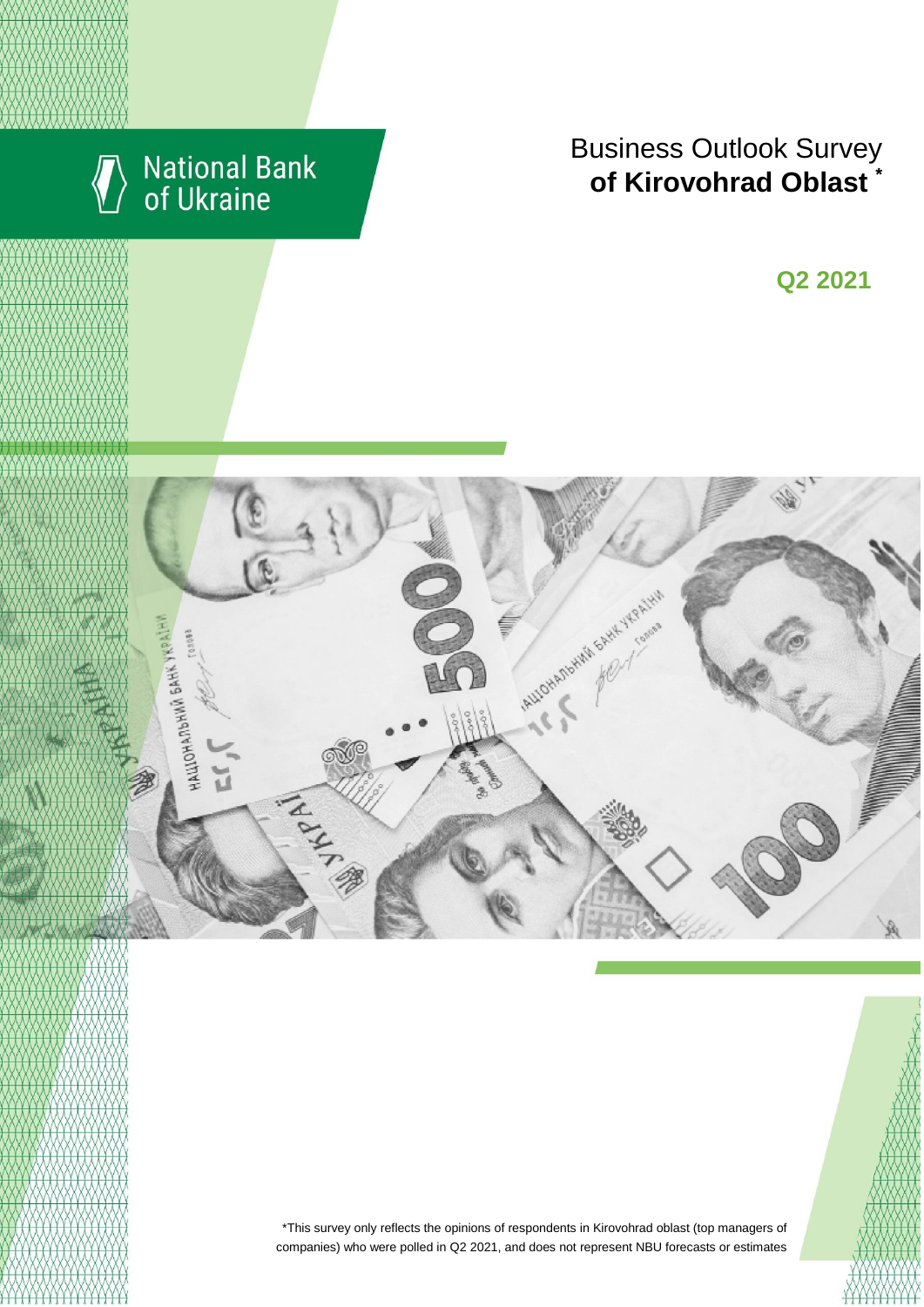

# National Bank<br>of Ukraine

## Business Outlook Survey **of Kirovohrad Oblast**

I квартал 2018 року **Q2 2021**



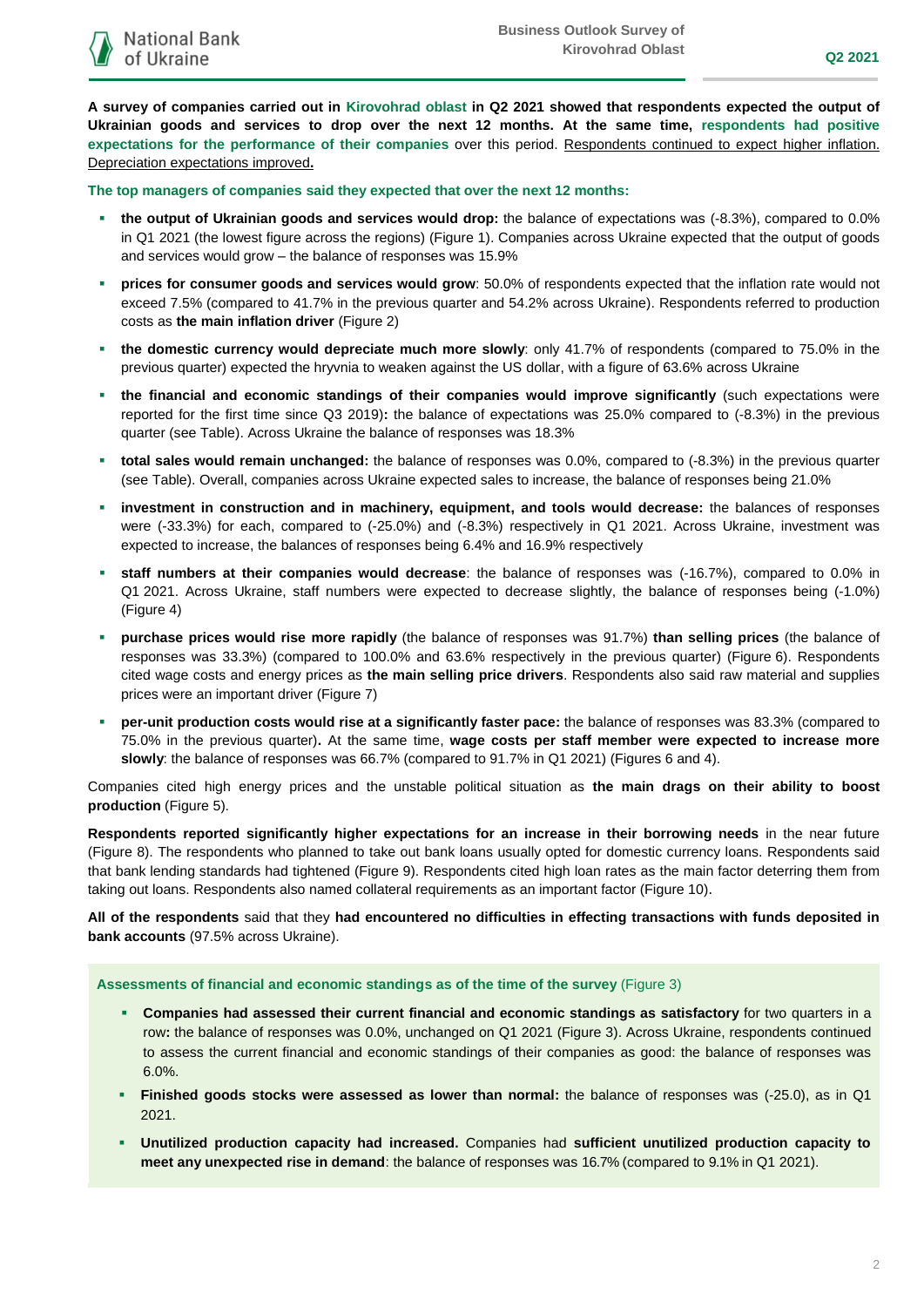**A survey of companies carried out in Kirovohrad oblast in Q2 2021 showed that respondents expected the output of Ukrainian goods and services to drop over the next 12 months. At the same time, respondents had positive expectations for the performance of their companies** over this period. Respondents continued to expect higher inflation. Depreciation expectations improved**.**

**The top managers of companies said they expected that over the next 12 months:**

- **the output of Ukrainian goods and services would drop:** the balance of expectations was (-8.3%), compared to 0.0% in Q1 2021 (the lowest figure across the regions) (Figure 1). Companies across Ukraine expected that the output of goods and services would grow – the balance of responses was 15.9%
- **prices for consumer goods and services would grow**: 50.0% of respondents expected that the inflation rate would not exceed 7.5% (compared to 41.7% in the previous quarter and 54.2% across Ukraine). Respondents referred to production costs as **the main inflation driver** (Figure 2)
- **the domestic currency would depreciate much more slowly**: only 41.7% of respondents (compared to 75.0% in the previous quarter) expected the hryvnia to weaken against the US dollar, with a figure of 63.6% across Ukraine
- **the financial and economic standings of their companies would improve significantly** (such expectations were reported for the first time since Q3 2019)**:** the balance of expectations was 25.0% compared to (-8.3%) in the previous quarter (see Table). Across Ukraine the balance of responses was 18.3%
- **total sales would remain unchanged:** the balance of responses was 0.0%, compared to (-8.3%) in the previous quarter (see Table). Overall, companies across Ukraine expected sales to increase, the balance of responses being 21.0%
- **investment in construction and in machinery, equipment, and tools would decrease:** the balances of responses were (-33.3%) for each, compared to (-25.0%) and (-8.3%) respectively in Q1 2021. Across Ukraine, investment was expected to increase, the balances of responses being 6.4% and 16.9% respectively
- **staff numbers at their companies would decrease**: the balance of responses was (-16.7%), compared to 0.0% in Q1 2021. Across Ukraine, staff numbers were expected to decrease slightly, the balance of responses being (-1.0%) (Figure 4)
- **purchase prices would rise more rapidly** (the balance of responses was 91.7%) **than selling prices** (the balance of responses was 33.3%) (compared to 100.0% and 63.6% respectively in the previous quarter) (Figure 6). Respondents cited wage costs and energy prices as **the main selling price drivers**. Respondents also said raw material and supplies prices were an important driver (Figure 7)
- **per-unit production costs would rise at a significantly faster pace:** the balance of responses was 83.3% (compared to 75.0% in the previous quarter)**.** At the same time, **wage costs per staff member were expected to increase more slowly**: the balance of responses was 66.7% (compared to 91.7% in Q1 2021) (Figures 6 and 4).

Companies cited high energy prices and the unstable political situation as **the main drags on their ability to boost production** (Figure 5).

**Respondents reported significantly higher expectations for an increase in their borrowing needs** in the near future (Figure 8). The respondents who planned to take out bank loans usually opted for domestic currency loans. Respondents said that bank lending standards had tightened (Figure 9). Respondents cited high loan rates as the main factor deterring them from taking out loans. Respondents also named collateral requirements as an important factor (Figure 10).

**All of the respondents** said that they **had encountered no difficulties in effecting transactions with funds deposited in bank accounts** (97.5% across Ukraine).

**Assessments of financial and economic standings as of the time of the survey** (Figure 3)

- **Companies had assessed their current financial and economic standings as satisfactory** for two quarters in a row**:** the balance of responses was 0.0%, unchanged on Q1 2021 (Figure 3). Across Ukraine, respondents continued to assess the current financial and economic standings of their companies as good: the balance of responses was 6.0%.
- **Finished goods stocks were assessed as lower than normal:** the balance of responses was (-25.0), as in Q1 2021.
- **Unutilized production capacity had increased.** Companies had **sufficient unutilized production capacity to meet any unexpected rise in demand**: the balance of responses was 16.7% (compared to 9.1% in Q1 2021).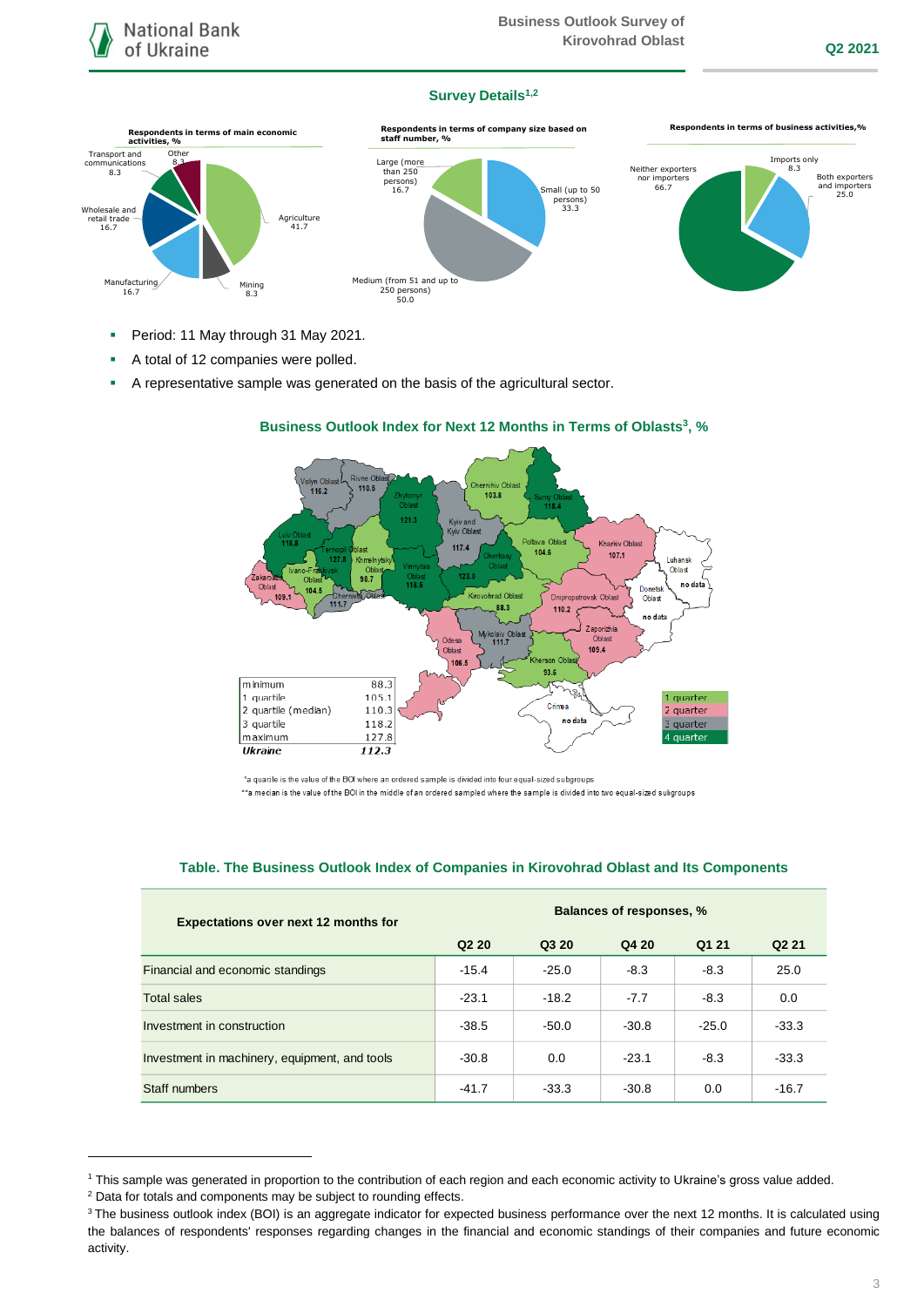

#### **Survey Details1,2**



- Period: 11 May through 31 May 2021.
- A total of 12 companies were polled.
- A representative sample was generated on the basis of the agricultural sector.



#### **Business Outlook Index for Next 12 Months in Terms of Oblasts 3 , %**

| <b>Expectations over next 12 months for</b>   | <b>Balances of responses, %</b> |         |         |         |                   |
|-----------------------------------------------|---------------------------------|---------|---------|---------|-------------------|
|                                               | Q <sub>2</sub> 2 <sub>0</sub>   | Q3 20   | Q4 20   | Q1 21   | Q <sub>2</sub> 21 |
| Financial and economic standings              | $-15.4$                         | $-25.0$ | $-8.3$  | $-8.3$  | 25.0              |
| Total sales                                   | $-23.1$                         | $-18.2$ | $-7.7$  | $-8.3$  | 0.0               |
| Investment in construction                    | $-38.5$                         | $-50.0$ | $-30.8$ | $-25.0$ | $-33.3$           |
| Investment in machinery, equipment, and tools | $-30.8$                         | 0.0     | $-23.1$ | $-8.3$  | $-33.3$           |
| Staff numbers                                 | $-41.7$                         | $-33.3$ | $-30.8$ | 0.0     | $-16.7$           |

#### **Table. The Business Outlook Index of Companies in Kirovohrad Oblast and Its Components**

1

<sup>\*</sup>a quartile is the value of the BOI where an ordered sample is divided into four equal-sized subgroups \*\*a median is the value of the BOI in the middle of an ordered sampled where the sample is divided into two equal-sized subgroups

<sup>1</sup> This sample was generated in proportion to the contribution of each region and each economic activity to Ukraine's gross value added.

<sup>2</sup> Data for totals and components may be subject to rounding effects.

<sup>&</sup>lt;sup>3</sup> The business outlook index (BOI) is an aggregate indicator for expected business performance over the next 12 months. It is calculated using the balances of respondents' responses regarding changes in the financial and economic standings of their companies and future economic activity.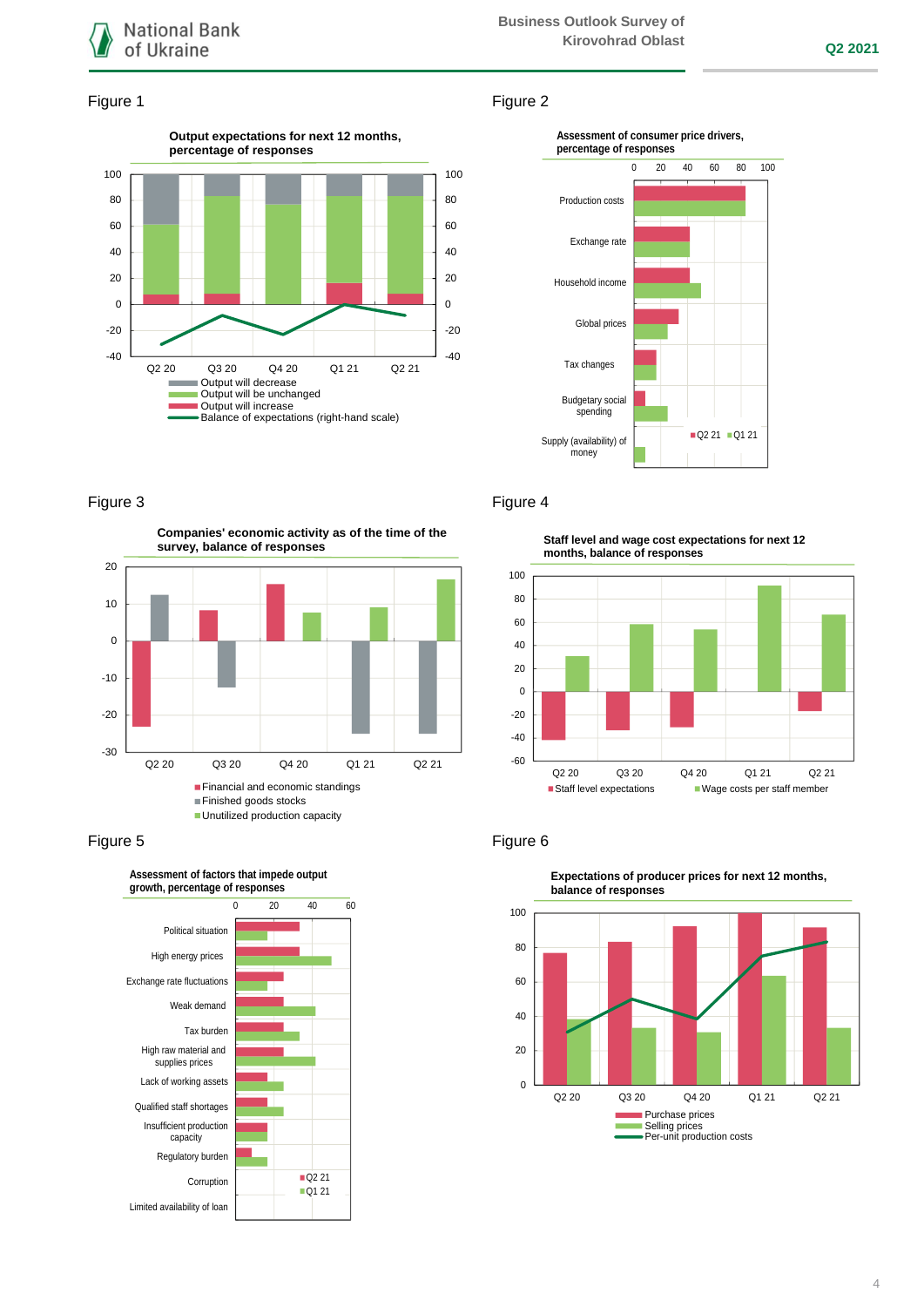

## Figure 1 Figure 2





#### Figure 3 Figure 4

**Companies' economic activity as of the time of the survey, balance of responses**





**Staff level and wage cost expectations for next 12 months, balance of responses**



#### Figure 5 Figure 6



**Expectations of producer prices for next 12 months,**